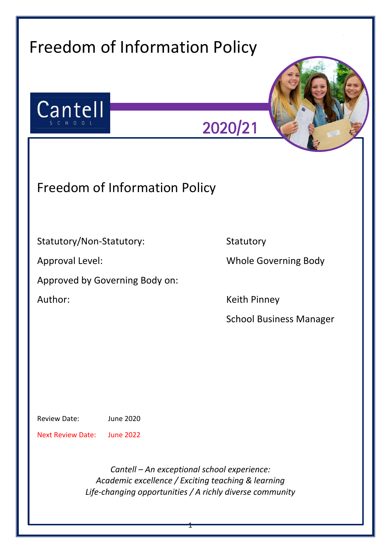| Cantell<br>S C H O O L                  | 2020/21                        |
|-----------------------------------------|--------------------------------|
| <b>Freedom of Information Policy</b>    |                                |
| Statutory/Non-Statutory:                | Statutory                      |
| <b>Approval Level:</b>                  | <b>Whole Governing Body</b>    |
| Approved by Governing Body on:          |                                |
| Author:                                 | <b>Keith Pinney</b>            |
|                                         | <b>School Business Manager</b> |
|                                         |                                |
|                                         |                                |
| <b>Review Date:</b><br><b>June 2020</b> |                                |

1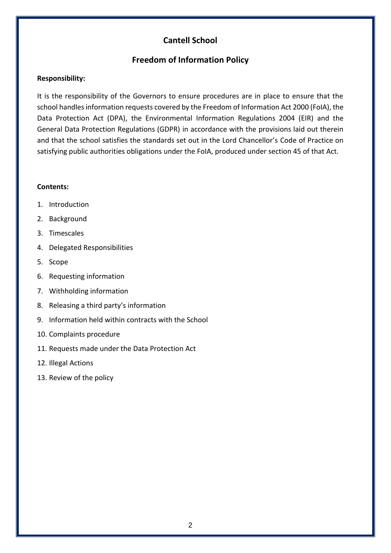# **Cantell School**

## **Freedom of Information Policy**

#### **Responsibility:**

It is the responsibility of the Governors to ensure procedures are in place to ensure that the school handles information requests covered by the Freedom of Information Act 2000 (FoIA), the Data Protection Act (DPA), the Environmental Information Regulations 2004 (EIR) and the General Data Protection Regulations (GDPR) in accordance with the provisions laid out therein and that the school satisfies the standards set out in the Lord Chancellor's Code of Practice on satisfying public authorities obligations under the FoIA, produced under section 45 of that Act.

#### **Contents:**

- 1. Introduction
- 2. Background
- 3. Timescales
- 4. Delegated Responsibilities
- 5. Scope
- 6. Requesting information
- 7. Withholding information
- 8. Releasing a third party's information
- 9. Information held within contracts with the School
- 10. Complaints procedure
- 11. Requests made under the Data Protection Act
- 12. Illegal Actions
- 13. Review of the policy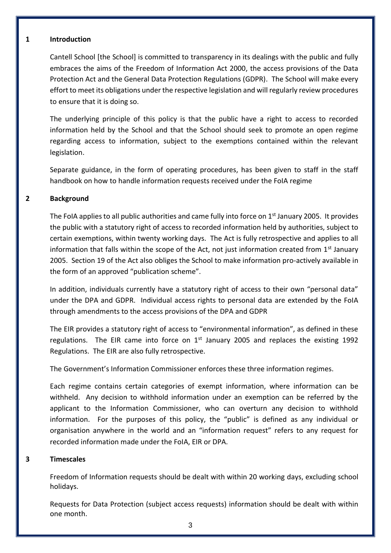#### **1 Introduction**

Cantell School [the School] is committed to transparency in its dealings with the public and fully embraces the aims of the Freedom of Information Act 2000, the access provisions of the Data Protection Act and the General Data Protection Regulations (GDPR). The School will make every effort to meet its obligations under the respective legislation and will regularly review procedures to ensure that it is doing so.

The underlying principle of this policy is that the public have a right to access to recorded information held by the School and that the School should seek to promote an open regime regarding access to information, subject to the exemptions contained within the relevant legislation.

Separate guidance, in the form of operating procedures, has been given to staff in the staff handbook on how to handle information requests received under the FoIA regime

## **2 Background**

The FoIA applies to all public authorities and came fully into force on 1<sup>st</sup> January 2005. It provides the public with a statutory right of access to recorded information held by authorities, subject to certain exemptions, within twenty working days. The Act is fully retrospective and applies to all information that falls within the scope of the Act, not just information created from  $1<sup>st</sup>$  January 2005. Section 19 of the Act also obliges the School to make information pro-actively available in the form of an approved "publication scheme".

In addition, individuals currently have a statutory right of access to their own "personal data" under the DPA and GDPR. Individual access rights to personal data are extended by the FoIA through amendments to the access provisions of the DPA and GDPR

The EIR provides a statutory right of access to "environmental information", as defined in these regulations. The EIR came into force on  $1<sup>st</sup>$  January 2005 and replaces the existing 1992 Regulations. The EIR are also fully retrospective.

The Government's Information Commissioner enforces these three information regimes.

Each regime contains certain categories of exempt information, where information can be withheld. Any decision to withhold information under an exemption can be referred by the applicant to the Information Commissioner, who can overturn any decision to withhold information. For the purposes of this policy, the "public" is defined as any individual or organisation anywhere in the world and an "information request" refers to any request for recorded information made under the FoIA, EIR or DPA.

## **3 Timescales**

Freedom of Information requests should be dealt with within 20 working days, excluding school holidays.

Requests for Data Protection (subject access requests) information should be dealt with within one month.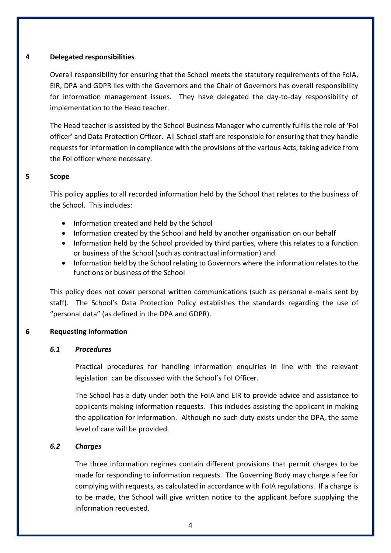### **4 Delegated responsibilities**

Overall responsibility for ensuring that the School meets the statutory requirements of the FoIA, EIR, DPA and GDPR lies with the Governors and the Chair of Governors has overall responsibility for information management issues. They have delegated the day-to-day responsibility of implementation to the Head teacher.

The Head teacher is assisted by the School Business Manager who currently fulfils the role of 'FoI officer' and Data Protection Officer. All School staff are responsible for ensuring that they handle requests for information in compliance with the provisions of the various Acts, taking advice from the FoI officer where necessary.

### **5 Scope**

This policy applies to all recorded information held by the School that relates to the business of the School. This includes:

- Information created and held by the School
- Information created by the School and held by another organisation on our behalf
- Information held by the School provided by third parties, where this relates to a function or business of the School (such as contractual information) and
- Information held by the School relating to Governors where the information relates to the functions or business of the School

This policy does not cover personal written communications (such as personal e-mails sent by staff). The School's Data Protection Policy establishes the standards regarding the use of "personal data" (as defined in the DPA and GDPR).

## **6 Requesting information**

#### *6.1 Procedures*

Practical procedures for handling information enquiries in line with the relevant legislation can be discussed with the School's FoI Officer.

The School has a duty under both the FoIA and EIR to provide advice and assistance to applicants making information requests. This includes assisting the applicant in making the application for information. Although no such duty exists under the DPA, the same level of care will be provided.

## *6.2 Charges*

The three information regimes contain different provisions that permit charges to be made for responding to information requests. The Governing Body may charge a fee for complying with requests, as calculated in accordance with FoIA regulations. If a charge is to be made, the School will give written notice to the applicant before supplying the information requested.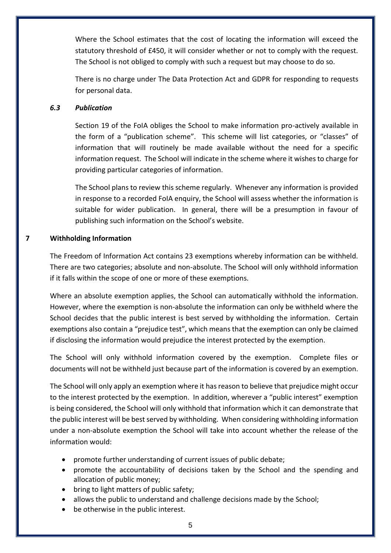Where the School estimates that the cost of locating the information will exceed the statutory threshold of £450, it will consider whether or not to comply with the request. The School is not obliged to comply with such a request but may choose to do so.

There is no charge under The Data Protection Act and GDPR for responding to requests for personal data.

## *6.3 Publication*

Section 19 of the FoIA obliges the School to make information pro-actively available in the form of a "publication scheme". This scheme will list categories, or "classes" of information that will routinely be made available without the need for a specific information request. The School will indicate in the scheme where it wishes to charge for providing particular categories of information.

The School plans to review this scheme regularly. Whenever any information is provided in response to a recorded FoIA enquiry, the School will assess whether the information is suitable for wider publication. In general, there will be a presumption in favour of publishing such information on the School's website.

## **7 Withholding Information**

The Freedom of Information Act contains 23 exemptions whereby information can be withheld. There are two categories; absolute and non-absolute. The School will only withhold information if it falls within the scope of one or more of these exemptions.

Where an absolute exemption applies, the School can automatically withhold the information. However, where the exemption is non-absolute the information can only be withheld where the School decides that the public interest is best served by withholding the information. Certain exemptions also contain a "prejudice test", which means that the exemption can only be claimed if disclosing the information would prejudice the interest protected by the exemption.

The School will only withhold information covered by the exemption. Complete files or documents will not be withheld just because part of the information is covered by an exemption.

The School will only apply an exemption where it has reason to believe that prejudice might occur to the interest protected by the exemption. In addition, wherever a "public interest" exemption is being considered, the School will only withhold that information which it can demonstrate that the public interest will be best served by withholding. When considering withholding information under a non-absolute exemption the School will take into account whether the release of the information would:

- promote further understanding of current issues of public debate;
- promote the accountability of decisions taken by the School and the spending and allocation of public money;
- bring to light matters of public safety;
- allows the public to understand and challenge decisions made by the School;
- be otherwise in the public interest.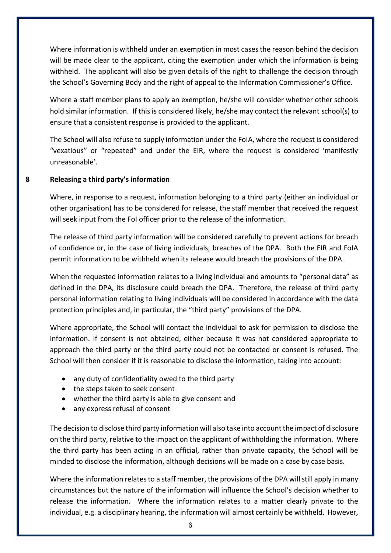Where information is withheld under an exemption in most cases the reason behind the decision will be made clear to the applicant, citing the exemption under which the information is being withheld. The applicant will also be given details of the right to challenge the decision through the School's Governing Body and the right of appeal to the Information Commissioner's Office.

Where a staff member plans to apply an exemption, he/she will consider whether other schools hold similar information. If this is considered likely, he/she may contact the relevant school(s) to ensure that a consistent response is provided to the applicant.

The School will also refuse to supply information under the FoIA, where the request is considered "vexatious" or "repeated" and under the EIR, where the request is considered 'manifestly unreasonable'.

## **8 Releasing a third party's information**

Where, in response to a request, information belonging to a third party (either an individual or other organisation) has to be considered for release, the staff member that received the request will seek input from the FoI officer prior to the release of the information.

The release of third party information will be considered carefully to prevent actions for breach of confidence or, in the case of living individuals, breaches of the DPA. Both the EIR and FoIA permit information to be withheld when its release would breach the provisions of the DPA.

When the requested information relates to a living individual and amounts to "personal data" as defined in the DPA, its disclosure could breach the DPA. Therefore, the release of third party personal information relating to living individuals will be considered in accordance with the data protection principles and, in particular, the "third party" provisions of the DPA.

Where appropriate, the School will contact the individual to ask for permission to disclose the information. If consent is not obtained, either because it was not considered appropriate to approach the third party or the third party could not be contacted or consent is refused. The School will then consider if it is reasonable to disclose the information, taking into account:

- any duty of confidentiality owed to the third party
- the steps taken to seek consent
- whether the third party is able to give consent and
- any express refusal of consent

The decision to disclose third party information will also take into account the impact of disclosure on the third party, relative to the impact on the applicant of withholding the information. Where the third party has been acting in an official, rather than private capacity, the School will be minded to disclose the information, although decisions will be made on a case by case basis.

Where the information relates to a staff member, the provisions of the DPA will still apply in many circumstances but the nature of the information will influence the School's decision whether to release the information. Where the information relates to a matter clearly private to the individual, e.g. a disciplinary hearing, the information will almost certainly be withheld. However,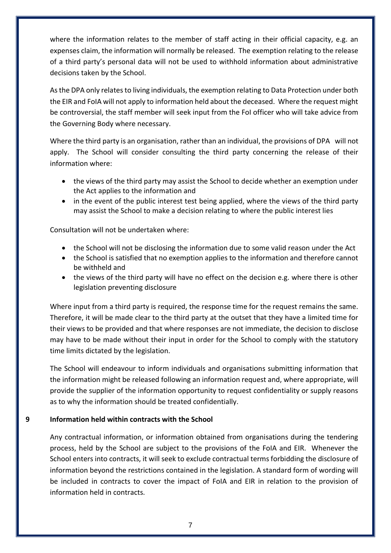where the information relates to the member of staff acting in their official capacity, e.g. an expenses claim, the information will normally be released. The exemption relating to the release of a third party's personal data will not be used to withhold information about administrative decisions taken by the School.

As the DPA only relates to living individuals, the exemption relating to Data Protection under both the EIR and FoIA will not apply to information held about the deceased. Where the request might be controversial, the staff member will seek input from the FoI officer who will take advice from the Governing Body where necessary.

Where the third party is an organisation, rather than an individual, the provisions of DPA will not apply. The School will consider consulting the third party concerning the release of their information where:

- the views of the third party may assist the School to decide whether an exemption under the Act applies to the information and
- in the event of the public interest test being applied, where the views of the third party may assist the School to make a decision relating to where the public interest lies

Consultation will not be undertaken where:

- the School will not be disclosing the information due to some valid reason under the Act
- the School is satisfied that no exemption applies to the information and therefore cannot be withheld and
- the views of the third party will have no effect on the decision e.g. where there is other legislation preventing disclosure

Where input from a third party is required, the response time for the request remains the same. Therefore, it will be made clear to the third party at the outset that they have a limited time for their views to be provided and that where responses are not immediate, the decision to disclose may have to be made without their input in order for the School to comply with the statutory time limits dictated by the legislation.

The School will endeavour to inform individuals and organisations submitting information that the information might be released following an information request and, where appropriate, will provide the supplier of the information opportunity to request confidentiality or supply reasons as to why the information should be treated confidentially.

## **9 Information held within contracts with the School**

Any contractual information, or information obtained from organisations during the tendering process, held by the School are subject to the provisions of the FoIA and EIR. Whenever the School enters into contracts, it will seek to exclude contractual terms forbidding the disclosure of information beyond the restrictions contained in the legislation. A standard form of wording will be included in contracts to cover the impact of FoIA and EIR in relation to the provision of information held in contracts.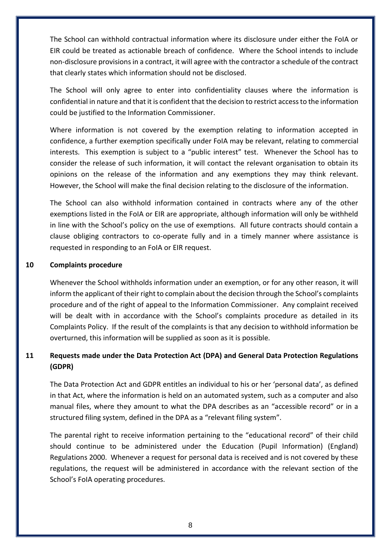The School can withhold contractual information where its disclosure under either the FoIA or EIR could be treated as actionable breach of confidence. Where the School intends to include non-disclosure provisions in a contract, it will agree with the contractor a schedule of the contract that clearly states which information should not be disclosed.

The School will only agree to enter into confidentiality clauses where the information is confidential in nature and that it is confident that the decision to restrict access to the information could be justified to the Information Commissioner.

Where information is not covered by the exemption relating to information accepted in confidence, a further exemption specifically under FoIA may be relevant, relating to commercial interests. This exemption is subject to a "public interest" test. Whenever the School has to consider the release of such information, it will contact the relevant organisation to obtain its opinions on the release of the information and any exemptions they may think relevant. However, the School will make the final decision relating to the disclosure of the information.

The School can also withhold information contained in contracts where any of the other exemptions listed in the FoIA or EIR are appropriate, although information will only be withheld in line with the School's policy on the use of exemptions. All future contracts should contain a clause obliging contractors to co-operate fully and in a timely manner where assistance is requested in responding to an FoIA or EIR request.

## **10 Complaints procedure**

Whenever the School withholds information under an exemption, or for any other reason, it will inform the applicant of their right to complain about the decision through the School's complaints procedure and of the right of appeal to the Information Commissioner. Any complaint received will be dealt with in accordance with the School's complaints procedure as detailed in its Complaints Policy. If the result of the complaints is that any decision to withhold information be overturned, this information will be supplied as soon as it is possible.

# **11 Requests made under the Data Protection Act (DPA) and General Data Protection Regulations (GDPR)**

The Data Protection Act and GDPR entitles an individual to his or her 'personal data', as defined in that Act, where the information is held on an automated system, such as a computer and also manual files, where they amount to what the DPA describes as an "accessible record" or in a structured filing system, defined in the DPA as a "relevant filing system".

The parental right to receive information pertaining to the "educational record" of their child should continue to be administered under the Education (Pupil Information) (England) Regulations 2000. Whenever a request for personal data is received and is not covered by these regulations, the request will be administered in accordance with the relevant section of the School's FoIA operating procedures.